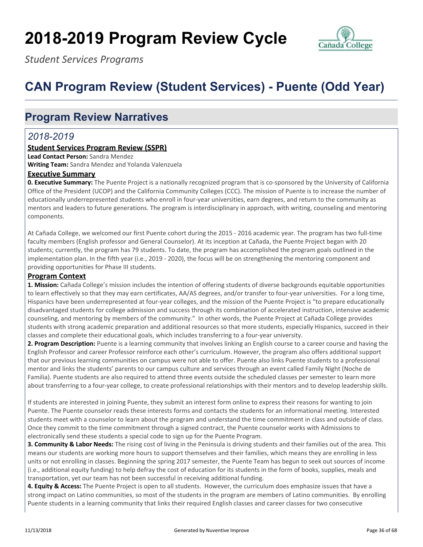# **2018-2019 Program Review Cycle**



*Student Services Programs*

# **CAN Program Review (Student Services) - Puente (Odd Year)**

## **Program Review Narratives**

### *2018-2019*

#### **Student Services Program Review (SSPR)**

**Lead Contact Person:** Sandra Mendez

**Writing Team:** Sandra Mendez and Yolanda Valenzuela

#### **Executive Summary**

**0. Executive Summary:** The Puente Project is a nationally recognized program that is co-sponsored by the University of California Office of the President (UCOP) and the California Community Colleges (CCC). The mission of Puente is to increase the number of educationally underrepresented students who enroll in four-year universities, earn degrees, and return to the community as mentors and leaders to future generations. The program is interdisciplinary in approach, with writing, counseling and mentoring components.

At Cañada College, we welcomed our first Puente cohort during the 2015 - 2016 academic year. The program has two full-time faculty members (English professor and General Counselor). At its inception at Cañada, the Puente Project began with 20 students; currently, the program has 79 students. To date, the program has accomplished the program goals outlined in the implementation plan. In the fifth year (i.e., 2019 - 2020), the focus will be on strengthening the mentoring component and providing opportunities for Phase III students.

#### **Program Context**

**1. Mission:** Cañada College's mission includes the intention of offering students of diverse backgrounds equitable opportunities to learn effectively so that they may earn certificates, AA/AS degrees, and/or transfer to four-year universities. For a long time, Hispanics have been underrepresented at four-year colleges, and the mission of the Puente Project is "to prepare educationally disadvantaged students for college admission and success through its combination of accelerated instruction, intensive academic counseling, and mentoring by members of the community." In other words, the Puente Project at Cañada College provides students with strong academic preparation and additional resources so that more students, especially Hispanics, succeed in their classes and complete their educational goals, which includes transferring to a four-year university.

**2. Program Description:** Puente is a learning community that involves linking an English course to a career course and having the English Professor and career Professor reinforce each other's curriculum. However, the program also offers additional support that our previous learning communities on campus were not able to offer. Puente also links Puente students to a professional mentor and links the students' parents to our campus culture and services through an event called Family Night (Noche de Familia). Puente students are also required to attend three events outside the scheduled classes per semester to learn more about transferring to a four-year college, to create professional relationships with their mentors and to develop leadership skills.

If students are interested in joining Puente, they submit an interest form online to express their reasons for wanting to join Puente. The Puente counselor reads these interests forms and contacts the students for an informational meeting. Interested students meet with a counselor to learn about the program and understand the time commitment in class and outside of class. Once they commit to the time commitment through a signed contract, the Puente counselor works with Admissions to electronically send these students a special code to sign up for the Puente Program.

**3. Community & Labor Needs:** The rising cost of living in the Peninsula is driving students and their families out of the area. This means our students are working more hours to support themselves and their families, which means they are enrolling in less units or not enrolling in classes. Beginning the spring 2017 semester, the Puente Team has begun to seek out sources of income (i.e., additional equity funding) to help defray the cost of education for its students in the form of books, supplies, meals and transportation, yet our team has not been successful in receiving additional funding.

**4. Equity & Access:** The Puente Project is open to all students. However, the curriculum does emphasize issues that have a strong impact on Latino communities, so most of the students in the program are members of Latino communities. By enrolling Puente students in a learning community that links their required English classes and career classes for two consecutive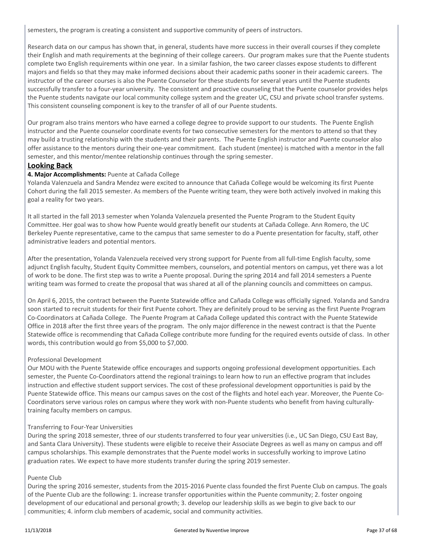semesters, the program is creating a consistent and supportive community of peers of instructors.

Research data on our campus has shown that, in general, students have more success in their overall courses if they complete their English and math requirements at the beginning of their college careers. Our program makes sure that the Puente students complete two English requirements within one year. In a similar fashion, the two career classes expose students to different majors and fields so that they may make informed decisions about their academic paths sooner in their academic careers. The instructor of the career courses is also the Puente Counselor for these students for several years until the Puente students successfully transfer to a four-year university. The consistent and proactive counseling that the Puente counselor provides helps the Puente students navigate our local community college system and the greater UC, CSU and private school transfer systems. This consistent counseling component is key to the transfer of all of our Puente students.

Our program also trains mentors who have earned a college degree to provide support to our students. The Puente English instructor and the Puente counselor coordinate events for two consecutive semesters for the mentors to attend so that they may build a trusting relationship with the students and their parents. The Puente English instructor and Puente counselor also offer assistance to the mentors during their one-year commitment. Each student (mentee) is matched with a mentor in the fall semester, and this mentor/mentee relationship continues through the spring semester.

#### **Looking Back**

#### **4. Major Accomplishments:** Puente at Cañada College

Yolanda Valenzuela and Sandra Mendez were excited to announce that Cañada College would be welcoming its first Puente Cohort during the fall 2015 semester. As members of the Puente writing team, they were both actively involved in making this goal a reality for two years.

It all started in the fall 2013 semester when Yolanda Valenzuela presented the Puente Program to the Student Equity Committee. Her goal was to show how Puente would greatly benefit our students at Cañada College. Ann Romero, the UC Berkeley Puente representative, came to the campus that same semester to do a Puente presentation for faculty, staff, other administrative leaders and potential mentors.

After the presentation, Yolanda Valenzuela received very strong support for Puente from all full-time English faculty, some adjunct English faculty, Student Equity Committee members, counselors, and potential mentors on campus, yet there was a lot of work to be done. The first step was to write a Puente proposal. During the spring 2014 and fall 2014 semesters a Puente writing team was formed to create the proposal that was shared at all of the planning councils and committees on campus.

On April 6, 2015, the contract between the Puente Statewide office and Cañada College was officially signed. Yolanda and Sandra soon started to recruit students for their first Puente cohort. They are definitely proud to be serving as the first Puente Program Co-Coordinators at Cañada College. The Puente Program at Cañada College updated this contract with the Puente Statewide Office in 2018 after the first three years of the program. The only major difference in the newest contract is that the Puente Statewide office is recommending that Cañada College contribute more funding for the required events outside of class. In other words, this contribution would go from \$5,000 to \$7,000.

#### Professional Development

Our MOU with the Puente Statewide office encourages and supports ongoing professional development opportunities. Each semester, the Puente Co-Coordinators attend the regional trainings to learn how to run an effective program that includes instruction and effective student support services. The cost of these professional development opportunities is paid by the Puente Statewide office. This means our campus saves on the cost of the flights and hotel each year. Moreover, the Puente Co-Coordinators serve various roles on campus where they work with non-Puente students who benefit from having culturallytraining faculty members on campus.

#### Transferring to Four-Year Universities

During the spring 2018 semester, three of our students transferred to four year universities (i.e., UC San Diego, CSU East Bay, and Santa Clara University). These students were eligible to receive their Associate Degrees as well as many on campus and off campus scholarships. This example demonstrates that the Puente model works in successfully working to improve Latino graduation rates. We expect to have more students transfer during the spring 2019 semester.

#### Puente Club

During the spring 2016 semester, students from the 2015-2016 Puente class founded the first Puente Club on campus. The goals of the Puente Club are the following: 1. increase transfer opportunities within the Puente community; 2. foster ongoing development of our educational and personal growth; 3. develop our leadership skills as we begin to give back to our communities; 4. inform club members of academic, social and community activities.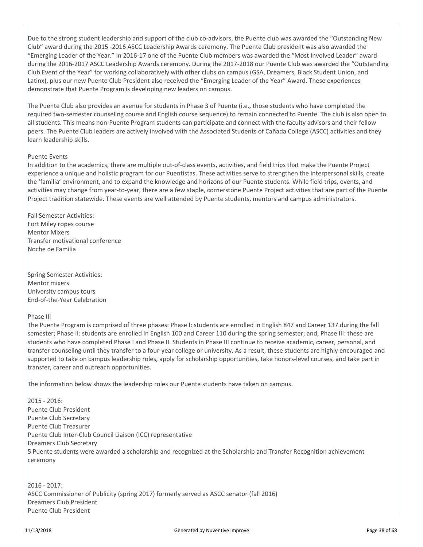Due to the strong student leadership and support of the club co-advisors, the Puente club was awarded the "Outstanding New Club" award during the 2015 -2016 ASCC Leadership Awards ceremony. The Puente Club president was also awarded the "Emerging Leader of the Year." In 2016-17 one of the Puente Club members was awarded the "Most Involved Leader" award during the 2016-2017 ASCC Leadership Awards ceremony. During the 2017-2018 our Puente Club was awarded the "Outstanding Club Event of the Year" for working collaboratively with other clubs on campus (GSA, Dreamers, Black Student Union, and Latinx), plus our new Puente Club President also received the "Emerging Leader of the Year" Award. These experiences demonstrate that Puente Program is developing new leaders on campus.

The Puente Club also provides an avenue for students in Phase 3 of Puente (i.e., those students who have completed the required two-semester counseling course and English course sequence) to remain connected to Puente. The club is also open to all students. This means non-Puente Program students can participate and connect with the faculty advisors and their fellow peers. The Puente Club leaders are actively involved with the Associated Students of Cañada College (ASCC) activities and they learn leadership skills.

#### Puente Events

In addition to the academics, there are multiple out-of-class events, activities, and field trips that make the Puente Project experience a unique and holistic program for our Puentistas. These activities serve to strengthen the interpersonal skills, create the 'familia' environment, and to expand the knowledge and horizons of our Puente students. While field trips, events, and activities may change from year-to-year, there are a few staple, cornerstone Puente Project activities that are part of the Puente Project tradition statewide. These events are well attended by Puente students, mentors and campus administrators.

Fall Semester Activities: Fort Miley ropes course Mentor Mixers Transfer motivational conference Noche de Familia

Spring Semester Activities: Mentor mixers University campus tours End-of-the-Year Celebration

#### Phase III

The Puente Program is comprised of three phases: Phase I: students are enrolled in English 847 and Career 137 during the fall semester; Phase II: students are enrolled in English 100 and Career 110 during the spring semester; and, Phase III: these are students who have completed Phase I and Phase II. Students in Phase III continue to receive academic, career, personal, and transfer counseling until they transfer to a four-year college or university. As a result, these students are highly encouraged and supported to take on campus leadership roles, apply for scholarship opportunities, take honors-level courses, and take part in transfer, career and outreach opportunities.

The information below shows the leadership roles our Puente students have taken on campus.

2015 - 2016: Puente Club President Puente Club Secretary Puente Club Treasurer Puente Club Inter-Club Council Liaison (ICC) representative Dreamers Club Secretary 5 Puente students were awarded a scholarship and recognized at the Scholarship and Transfer Recognition achievement ceremony

2016 - 2017: ASCC Commissioner of Publicity (spring 2017) formerly served as ASCC senator (fall 2016) Dreamers Club President Puente Club President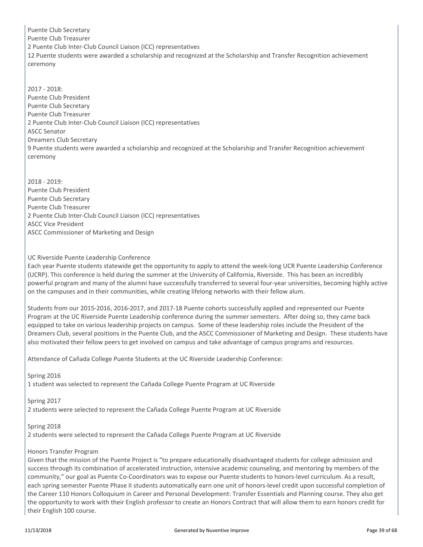Puente Club Secretary Puente Club Treasurer 2 Puente Club Inter-Club Council Liaison (ICC) representatives 12 Puente students were awarded a scholarship and recognized at the Scholarship and Transfer Recognition achievement ceremony

2017 - 2018: Puente Club President Puente Club Secretary Puente Club Treasurer 2 Puente Club Inter-Club Council Liaison (ICC) representatives ASCC Senator Dreamers Club Secretary 9 Puente students were awarded a scholarship and recognized at the Scholarship and Transfer Recognition achievement ceremony

2018 - 2019: Puente Club President Puente Club Secretary Puente Club Treasurer 2 Puente Club Inter-Club Council Liaison (ICC) representatives ASCC Vice President ASCC Commissioner of Marketing and Design

#### UC Riverside Puente Leadership Conference

Each year Puente students statewide get the opportunity to apply to attend the week-long UCR Puente Leadership Conference (UCRP). This conference is held during the summer at the University of California, Riverside. This has been an incredibly powerful program and many of the alumni have successfully transferred to several four-year universities, becoming highly active on the campuses and in their communities, while creating lifelong networks with their fellow alum.

Students from our 2015-2016, 2016-2017, and 2017-18 Puente cohorts successfully applied and represented our Puente Program at the UC Riverside Puente Leadership conference during the summer semesters. After doing so, they came back equipped to take on various leadership projects on campus. Some of these leadership roles include the President of the Dreamers Club, several positions in the Puente Club, and the ASCC Commissioner of Marketing and Design. These students have also motivated their fellow peers to get involved on campus and take advantage of campus programs and resources.

Attendance of Cañada College Puente Students at the UC Riverside Leadership Conference:

Spring 2016

1 student was selected to represent the Cañada College Puente Program at UC Riverside

Spring 2017

2 students were selected to represent the Cañada College Puente Program at UC Riverside

Spring 2018

2 students were selected to represent the Cañada College Puente Program at UC Riverside

#### Honors Transfer Program

Given that the mission of the Puente Project is "to prepare educationally disadvantaged students for college admission and success through its combination of accelerated instruction, intensive academic counseling, and mentoring by members of the community," our goal as Puente Co-Coordinators was to expose our Puente students to honors-level curriculum. As a result, each spring semester Puente Phase II students automatically earn one unit of honors-level credit upon successful completion of the Career 110 Honors Colloquium in Career and Personal Development: Transfer Essentials and Planning course. They also get the opportunity to work with their English professor to create an Honors Contract that will allow them to earn honors credit for their English 100 course.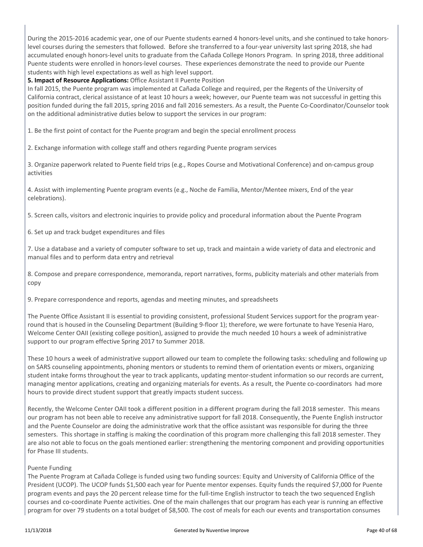During the 2015-2016 academic year, one of our Puente students earned 4 honors-level units, and she continued to take honorslevel courses during the semesters that followed. Before she transferred to a four-year university last spring 2018, she had accumulated enough honors-level units to graduate from the Cañada College Honors Program. In spring 2018, three additional Puente students were enrolled in honors-level courses. These experiences demonstrate the need to provide our Puente students with high level expectations as well as high level support.

**5. Impact of Resource Applications:** Office Assistant II Puente Position

In fall 2015, the Puente program was implemented at Cañada College and required, per the Regents of the University of California contract, clerical assistance of at least 10 hours a week; however, our Puente team was not successful in getting this position funded during the fall 2015, spring 2016 and fall 2016 semesters. As a result, the Puente Co-Coordinator/Counselor took on the additional administrative duties below to support the services in our program:

1. Be the first point of contact for the Puente program and begin the special enrollment process

2. Exchange information with college staff and others regarding Puente program services

3. Organize paperwork related to Puente field trips (e.g., Ropes Course and Motivational Conference) and on-campus group activities

4. Assist with implementing Puente program events (e.g., Noche de Familia, Mentor/Mentee mixers, End of the year celebrations).

5. Screen calls, visitors and electronic inquiries to provide policy and procedural information about the Puente Program

6. Set up and track budget expenditures and files

7. Use a database and a variety of computer software to set up, track and maintain a wide variety of data and electronic and manual files and to perform data entry and retrieval

8. Compose and prepare correspondence, memoranda, report narratives, forms, publicity materials and other materials from copy

9. Prepare correspondence and reports, agendas and meeting minutes, and spreadsheets

The Puente Office Assistant II is essential to providing consistent, professional Student Services support for the program yearround that is housed in the Counseling Department (Building 9-floor 1); therefore, we were fortunate to have Yesenia Haro, Welcome Center OAII (existing college position), assigned to provide the much needed 10 hours a week of administrative support to our program effective Spring 2017 to Summer 2018.

These 10 hours a week of administrative support allowed our team to complete the following tasks: scheduling and following up on SARS counseling appointments, phoning mentors or students to remind them of orientation events or mixers, organizing student intake forms throughout the year to track applicants, updating mentor-student information so our records are current, managing mentor applications, creating and organizing materials for events. As a result, the Puente co-coordinators had more hours to provide direct student support that greatly impacts student success.

Recently, the Welcome Center OAII took a different position in a different program during the fall 2018 semester. This means our program has not been able to receive any administrative support for fall 2018. Consequently, the Puente English instructor and the Puente Counselor are doing the administrative work that the office assistant was responsible for during the three semesters. This shortage in staffing is making the coordination of this program more challenging this fall 2018 semester. They are also not able to focus on the goals mentioned earlier: strengthening the mentoring component and providing opportunities for Phase III students.

#### Puente Funding

The Puente Program at Cañada College is funded using two funding sources: Equity and University of California Office of the President (UCOP). The UCOP funds \$1,500 each year for Puente mentor expenses. Equity funds the required \$7,000 for Puente program events and pays the 20 percent release time for the full-time English instructor to teach the two sequenced English courses and co-coordinate Puente activities. One of the main challenges that our program has each year is running an effective program for over 79 students on a total budget of \$8,500. The cost of meals for each our events and transportation consumes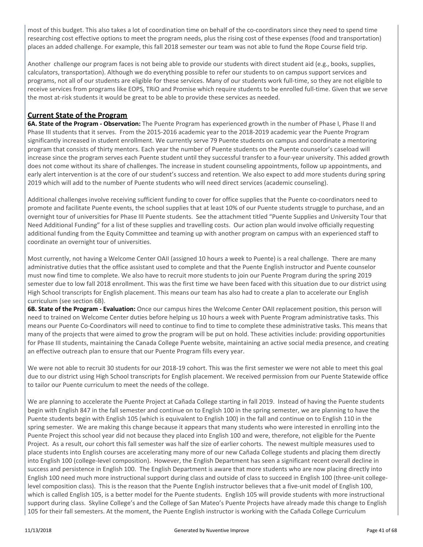most of this budget. This also takes a lot of coordination time on behalf of the co-coordinators since they need to spend time researching cost effective options to meet the program needs, plus the rising cost of these expenses (food and transportation) places an added challenge. For example, this fall 2018 semester our team was not able to fund the Rope Course field trip.

Another challenge our program faces is not being able to provide our students with direct student aid (e.g., books, supplies, calculators, transportation). Although we do everything possible to refer our students to on campus support services and programs, not all of our students are eligible for these services. Many of our students work full-time, so they are not eligible to receive services from programs like EOPS, TRiO and Promise which require students to be enrolled full-time. Given that we serve the most at-risk students it would be great to be able to provide these services as needed.

#### **Current State of the Program**

**6A. State of the Program - Observation:** The Puente Program has experienced growth in the number of Phase I, Phase II and Phase III students that it serves. From the 2015-2016 academic year to the 2018-2019 academic year the Puente Program significantly increased in student enrollment. We currently serve 79 Puente students on campus and coordinate a mentoring program that consists of thirty mentors. Each year the number of Puente students on the Puente counselor's caseload will increase since the program serves each Puente student until they successful transfer to a four-year university. This added growth does not come without its share of challenges. The increase in student counseling appointments, follow up appointments, and early alert intervention is at the core of our student's success and retention. We also expect to add more students during spring 2019 which will add to the number of Puente students who will need direct services (academic counseling).

Additional challenges involve receiving sufficient funding to cover for office supplies that the Puente co-coordinators need to promote and facilitate Puente events, the school supplies that at least 10% of our Puente students struggle to purchase, and an overnight tour of universities for Phase III Puente students. See the attachment titled "Puente Supplies and University Tour that Need Additional Funding" for a list of these supplies and travelling costs. Our action plan would involve officially requesting additional funding from the Equity Committee and teaming up with another program on campus with an experienced staff to coordinate an overnight tour of universities.

Most currently, not having a Welcome Center OAII (assigned 10 hours a week to Puente) is a real challenge. There are many administrative duties that the office assistant used to complete and that the Puente English instructor and Puente counselor must now find time to complete. We also have to recruit more students to join our Puente Program during the spring 2019 semester due to low fall 2018 enrollment. This was the first time we have been faced with this situation due to our district using High School transcripts for English placement. This means our team has also had to create a plan to accelerate our English curriculum (see section 6B).

**6B. State of the Program - Evaluation:** Once our campus hires the Welcome Center OAII replacement position, this person will need to trained on Welcome Center duties before helping us 10 hours a week with Puente Program administrative tasks. This means our Puente Co-Coordinators will need to continue to find to time to complete these administrative tasks. This means that many of the projects that were aimed to grow the program will be put on hold. These activities include: providing opportunities for Phase III students, maintaining the Canada College Puente website, maintaining an active social media presence, and creating an effective outreach plan to ensure that our Puente Program fills every year.

We were not able to recruit 30 students for our 2018-19 cohort. This was the first semester we were not able to meet this goal due to our district using High School transcripts for English placement. We received permission from our Puente Statewide office to tailor our Puente curriculum to meet the needs of the college.

We are planning to accelerate the Puente Project at Cañada College starting in fall 2019. Instead of having the Puente students begin with English 847 in the fall semester and continue on to English 100 in the spring semester, we are planning to have the Puente students begin with English 105 (which is equivalent to English 100) in the fall and continue on to English 110 in the spring semester. We are making this change because it appears that many students who were interested in enrolling into the Puente Project this school year did not because they placed into English 100 and were, therefore, not eligible for the Puente Project. As a result, our cohort this fall semester was half the size of earlier cohorts. The newest multiple measures used to place students into English courses are accelerating many more of our new Cañada College students and placing them directly into English 100 (college-level composition). However, the English Department has seen a significant recent overall decline in success and persistence in English 100. The English Department is aware that more students who are now placing directly into English 100 need much more instructional support during class and outside of class to succeed in English 100 (three-unit collegelevel composition class). This is the reason that the Puente English instructor believes that a five-unit model of English 100, which is called English 105, is a better model for the Puente students. English 105 will provide students with more instructional support during class. Skyline College's and the College of San Mateo's Puente Projects have already made this change to English 105 for their fall semesters. At the moment, the Puente English instructor is working with the Cañada College Curriculum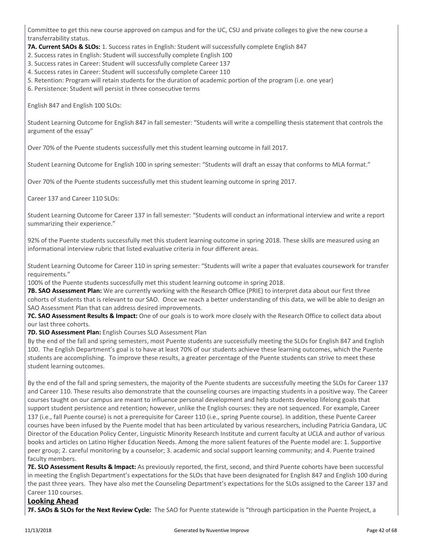Committee to get this new course approved on campus and for the UC, CSU and private colleges to give the new course a transferrability status.

**7A. Current SAOs & SLOs:** 1. Success rates in English: Student will successfully complete English 847

2. Success rates in English: Student will successfully complete English 100

3. Success rates in Career: Student will successfully complete Career 137

4. Success rates in Career: Student will successfully complete Career 110

5. Retention: Program will retain students for the duration of academic portion of the program (i.e. one year)

6. Persistence: Student will persist in three consecutive terms

English 847 and English 100 SLOs:

Student Learning Outcome for English 847 in fall semester: "Students will write a compelling thesis statement that controls the argument of the essay"

Over 70% of the Puente students successfully met this student learning outcome in fall 2017.

Student Learning Outcome for English 100 in spring semester: "Students will draft an essay that conforms to MLA format."

Over 70% of the Puente students successfully met this student learning outcome in spring 2017.

Career 137 and Career 110 SLOs:

Student Learning Outcome for Career 137 in fall semester: "Students will conduct an informational interview and write a report summarizing their experience."

92% of the Puente students successfully met this student learning outcome in spring 2018. These skills are measured using an informational interview rubric that listed evaluative criteria in four different areas.

Student Learning Outcome for Career 110 in spring semester: "Students will write a paper that evaluates coursework for transfer requirements."

100% of the Puente students successfully met this student learning outcome in spring 2018.

**7B. SAO Assessment Plan:** We are currently working with the Research Office (PRIE) to interpret data about our first three cohorts of students that is relevant to our SAO. Once we reach a better understanding of this data, we will be able to design an SAO Assessment Plan that can address desired improvements.

**7C. SAO Assessment Results & Impact:** One of our goals is to work more closely with the Research Office to collect data about our last three cohorts.

**7D. SLO Assessment Plan:** English Courses SLO Assessment Plan

By the end of the fall and spring semesters, most Puente students are successfully meeting the SLOs for English 847 and English 100. The English Department's goal is to have at least 70% of our students achieve these learning outcomes, which the Puente students are accomplishing. To improve these results, a greater percentage of the Puente students can strive to meet these student learning outcomes.

By the end of the fall and spring semesters, the majority of the Puente students are successfully meeting the SLOs for Career 137 and Career 110. These results also demonstrate that the counseling courses are impacting students in a positive way. The Career courses taught on our campus are meant to influence personal development and help students develop lifelong goals that support student persistence and retention; however, unlike the English courses: they are not sequenced. For example, Career 137 (i.e., fall Puente course) is not a prerequisite for Career 110 (i.e., spring Puente course). In addition, these Puente Career courses have been infused by the Puente model that has been articulated by various researchers, including Patricia Gandara, UC Director of the Education Policy Center, Linguistic Minority Research Institute and current faculty at UCLA and author of various books and articles on Latino Higher Education Needs. Among the more salient features of the Puente model are: 1. Supportive peer group; 2. careful monitoring by a counselor; 3. academic and social support learning community; and 4. Puente trained faculty members.

**7E. SLO Assessment Results & Impact:** As previously reported, the first, second, and third Puente cohorts have been successful in meeting the English Department's expectations for the SLOs that have been designated for English 847 and English 100 during the past three years. They have also met the Counseling Department's expectations for the SLOs assigned to the Career 137 and Career 110 courses.

#### **Looking Ahead**

**7F. SAOs & SLOs for the Next Review Cycle:** The SAO for Puente statewide is "through participation in the Puente Project, a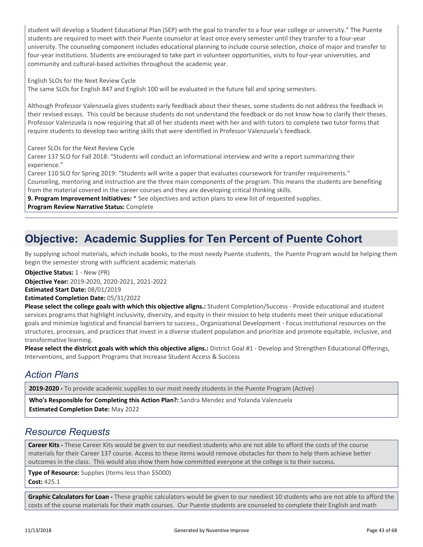student will develop a Student Educational Plan (SEP) with the goal to transfer to a four year college or university." The Puente students are required to meet with their Puente counselor at least once every semester until they transfer to a four-year university. The counseling component includes educational planning to include course selection, choice of major and transfer to four-year institutions. Students are encouraged to take part in volunteer opportunities, visits to four-year universities, and community and cultural-based activities throughout the academic year.

English SLOs for the Next Review Cycle

The same SLOs for English 847 and English 100 will be evaluated in the future fall and spring semesters.

Although Professor Valenzuela gives students early feedback about their theses, some students do not address the feedback in their revised essays. This could be because students do not understand the feedback or do not know how to clarify their theses. Professor Valenzuela is now requiring that all of her students meet with her and with tutors to complete two tutor forms that require students to develop two writing skills that were identified in Professor Valenzuela's feedback.

Career SLOs for the Next Review Cycle

Career 137 SLO for Fall 2018: "Students will conduct an informational interview and write a report summarizing their experience."

Career 110 SLO for Spring 2019: "Students will write a paper that evaluates coursework for transfer requirements." Counseling, mentoring and instruction are the three main components of the program. This means the students are benefiting

from the material covered in the career courses and they are developing critical thinking skills.

**9. Program Improvement Initiatives:** \* See objectives and action plans to view list of requested supplies. **Program Review Narrative Status:** Complete

# **Objective: Academic Supplies for Ten Percent of Puente Cohort**

By supplying school materials, which include books, to the most needy Puente students, the Puente Program would be helping them begin the semester strong with sufficient academic materials

**Objective Status:** 1 - New (PR)

**Objective Year:** 2019-2020, 2020-2021, 2021-2022

**Estimated Start Date:** 08/01/2019

**Estimated Completion Date:** 05/31/2022

**Please select the college goals with which this objective aligns.:** Student Completion/Success - Provide educational and student services programs that highlight inclusivity, diversity, and equity in their mission to help students meet their unique educational goals and minimize logistical and financial barriers to success., Organizational Development - Focus institutional resources on the structures, processes, and practices that invest in a diverse student population and prioritize and promote equitable, inclusive, and transformative learning.

Please select the districct goals with which this objective aligns.: District Goal #1 - Develop and Strengthen Educational Offerings, Interventions, and Support Programs that Increase Student Access & Success

### *Action Plans*

**2019-2020 -** To provide academic supplies to our most needy students in the Puente Program (Active)

**Who's Responsible for Completing this Action Plan?:** Sandra Mendez and Yolanda Valenzuela **Estimated Completion Date:** May 2022

### *Resource Requests*

Career Kits - These Career Kits would be given to our neediest students who are not able to afford the costs of the course materials for their Career 137 course. Access to these items would remove obstacles for them to help them achieve better outcomes in the class. This would also show them how committed everyone at the college is to their success.

**Type of Resource:** Supplies (Items less than \$5000) **Cost:** 425.1

**Graphic Calculators for Loan -** These graphic calculators would be given to our neediest 10 students who are not able to afford the costs of the course materials for their math courses. Our Puente students are counseled to complete their English and math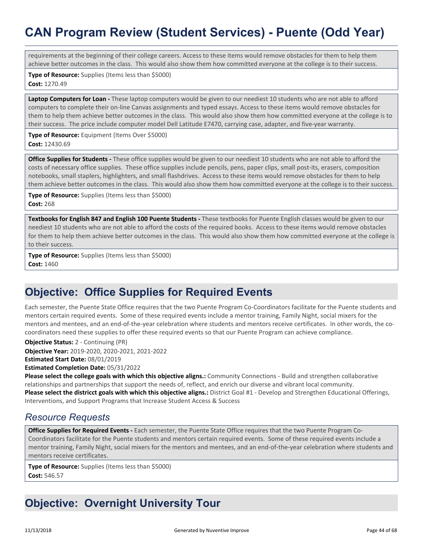# **CAN Program Review (Student Services) - Puente (Odd Year)**

requirements at the beginning of their college careers. Access to these items would remove obstacles for them to help them achieve better outcomes in the class. This would also show them how committed everyone at the college is to their success.

**Type of Resource:** Supplies (Items less than \$5000) **Cost:** 1270.49

Laptop Computers for Loan - These laptop computers would be given to our neediest 10 students who are not able to afford computers to complete their on-line Canvas assignments and typed essays. Access to these items would remove obstacles for them to help them achieve better outcomes in the class. This would also show them how committed everyone at the college is to their success. The price include computer model Dell Latitude E7470, carrying case, adapter, and five-year warranty.

**Type of Resource:** Equipment (Items Over \$5000) **Cost:** 12430.69

**Office Supplies for Students -** These office supplies would be given to our neediest 10 students who are not able to afford the costs of necessary office supplies. These office supplies include pencils, pens, paper clips, small post-its, erasers, composition notebooks, small staplers, highlighters, and small flashdrives. Access to these items would remove obstacles for them to help them achieve better outcomes in the class. This would also show them how committed everyone at the college is to their success.

**Type of Resource:** Supplies (Items less than \$5000) **Cost:** 268

**Textbooks for English 847 and English 100 Puente Students -** These textbooks for Puente English classes would be given to our neediest 10 students who are not able to afford the costs of the required books. Access to these items would remove obstacles for them to help them achieve better outcomes in the class. This would also show them how committed everyone at the college is to their success.

**Type of Resource:** Supplies (Items less than \$5000) **Cost:** 1460

### **Objective: Office Supplies for Required Events**

Each semester, the Puente State Office requires that the two Puente Program Co-Coordinators facilitate for the Puente students and mentors certain required events. Some of these required events include a mentor training, Family Night, social mixers for the mentors and mentees, and an end-of-the-year celebration where students and mentors receive certificates. In other words, the cocoordinators need these supplies to offer these required events so that our Puente Program can achieve compliance.

**Objective Year:** 2019-2020, 2020-2021, 2021-2022 **Estimated Start Date:** 08/01/2019 **Estimated Completion Date:** 05/31/2022 **Objective Status:** 2 - Continuing (PR)

**Please select the college goals with which this objective aligns.:** Community Connections - Build and strengthen collaborative relationships and partnerships that support the needs of, reflect, and enrich our diverse and vibrant local community. **Please select the districct goals with which this objective aligns.:** District Goal #1 - Develop and Strengthen Educational Offerings, Interventions, and Support Programs that Increase Student Access & Success

### *Resource Requests*

**Office Supplies for Required Events -** Each semester, the Puente State Office requires that the two Puente Program Co-Coordinators facilitate for the Puente students and mentors certain required events. Some of these required events include a mentor training, Family Night, social mixers for the mentors and mentees, and an end-of-the-year celebration where students and mentors receive certificates.

**Type of Resource:** Supplies (Items less than \$5000) **Cost:** 546.57

# **Objective: Overnight University Tour**